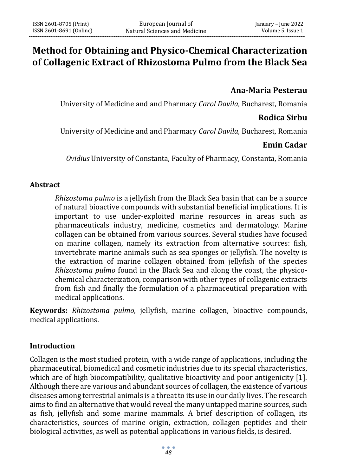# **Method for Obtaining and Physico-Chemical Characterization of Collagenic Extract of Rhizostoma Pulmo from the Black Sea**

## **Ana-Maria Pesterau**

University of Medicine and and Pharmacy *Carol Davila*, Bucharest, Romania

### **Rodica Sirbu**

University of Medicine and and Pharmacy *Carol Davila*, Bucharest, Romania

## **Emin Cadar**

*Ovidius* University of Constanta, Faculty of Pharmacy, Constanta, Romania

#### **Abstract**

*Rhizostoma pulmo* is a jellyfish from the Black Sea basin that can be a source of natural bioactive compounds with substantial beneficial implications. It is important to use under-exploited marine resources in areas such as pharmaceuticals industry, medicine, cosmetics and dermatology. Marine collagen can be obtained from various sources. Several studies have focused on marine collagen, namely its extraction from alternative sources: fish, invertebrate marine animals such as sea sponges or jellyfish. The novelty is the extraction of marine collagen obtained from jellyfish of the species *Rhizostoma pulmo* found in the Black Sea and along the coast, the physicochemical characterization, comparison with other types of collagenic extracts from fish and finally the formulation of a pharmaceutical preparation with medical applications.

**Keywords:** *Rhizostoma pulmo,* jellyfish, marine collagen, bioactive compounds, medical applications.

### **Introduction**

Collagen is the most studied protein, with a wide range of applications, including the pharmaceutical, biomedical and cosmetic industries due to its special characteristics, which are of high biocompatibility, qualitative bioactivity and poor antigenicity [1]. Although there are various and abundant sources of collagen, the existence of various diseases among terrestrial animals is a threat to its use in our daily lives. The research aims to find an alternative that would reveal the many untapped marine sources, such as fish, jellyfish and some marine mammals. A brief description of collagen, its characteristics, sources of marine origin, extraction, collagen peptides and their biological activities, as well as potential applications in various fields, is desired.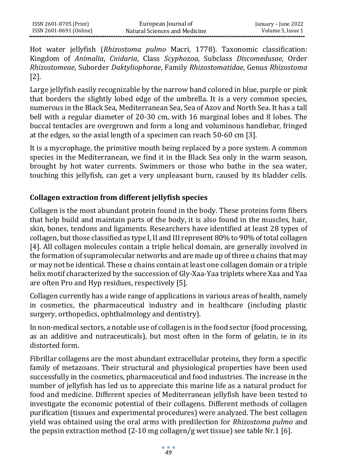Hot water jellyfish (*Rhizostoma pulmo* Macri, 1778). Taxonomic classification: Kingdom of *Animalia*, *Cnidaria*, Class *Scyphozoa*, Subclass *Discomedusae*, Order *Rhizostomeae*, Suborder *Daktyliophorae*, Family *Rhizostomatidae*, Genus *Rhizostoma*  [2].

Large jellyfish easily recognizable by the narrow band colored in blue, purple or pink that borders the slightly lobed edge of the umbrella. It is a very common species, numerous in the Black Sea, Mediterranean Sea, Sea of Azov and North Sea. It has a tall bell with a regular diameter of 20-30 cm, with 16 marginal lobes and 8 lobes. The buccal tentacles are overgrown and form a long and voluminous handlebar, fringed at the edges, so the axial length of a specimen can reach 50-60 cm [3].

It is a mycrophage, the primitive mouth being replaced by a pore system. A common species in the Mediterranean, we find it in the Black Sea only in the warm season, brought by hot water currents. Swimmers or those who bathe in the sea water, touching this jellyfish, can get a very unpleasant burn, caused by its bladder cells.

# **Collagen extraction from different jellyfish species**

Collagen is the most abundant protein found in the body. These proteins form fibers that help build and maintain parts of the body, it is also found in the muscles, hair, skin, bones, tendons and ligaments. Researchers have identified at least 28 types of collagen, but those classified as type I, II and III represent 80% to 90% of total collagen [4]. All collagen molecules contain a triple helical domain, are generally involved in the formation of supramolecular networks and are made up of three  $\alpha$  chains that may or may not be identical. These  $\alpha$  chains contain at least one collagen domain or a triple helix motif characterized by the succession of Gly-Xaa-Yaa triplets where Xaa and Yaa are often Pro and Hyp residues, respectively [5].

Collagen currently has a wide range of applications in various areas of health, namely in cosmetics, the pharmaceutical industry and in healthcare (including plastic surgery, orthopedics, ophthalmology and dentistry).

In non-medical sectors, a notable use of collagen is in the food sector (food processing, as an additive and nutraceuticals), but most often in the form of gelatin, ie in its distorted form.

Fibrillar collagens are the most abundant extracellular proteins, they form a specific family of metazoans. Their structural and physiological properties have been used successfully in the cosmetics, pharmaceutical and food industries. The increase in the number of jellyfish has led us to appreciate this marine life as a natural product for food and medicine. Different species of Mediterranean jellyfish have been tested to investigate the economic potential of their collagens. Different methods of collagen purification (tissues and experimental procedures) were analyzed. The best collagen yield was obtained using the oral arms with predilection for *Rhizostoma pulmo* and the pepsin extraction method (2-10 mg collagen/g wet tissue) see table Nr.1 [6].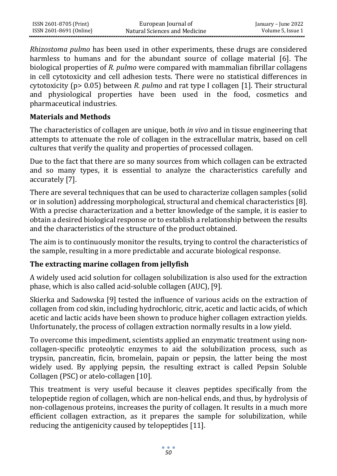| ISSN 2601-8705 (Print)  | European Journal of           | January – June 2022 |
|-------------------------|-------------------------------|---------------------|
| ISSN 2601-8691 (Online) | Natural Sciences and Medicine | Volume 5, Issue 1   |

*Rhizostoma pulmo* has been used in other experiments, these drugs are considered harmless to humans and for the abundant source of collage material [6]. The biological properties of *R. pulmo* were compared with mammalian fibrillar collagens in cell cytotoxicity and cell adhesion tests. There were no statistical differences in cytotoxicity (p> 0.05) between *R. pulmo* and rat type I collagen [1]. Their structural and physiological properties have been used in the food, cosmetics and pharmaceutical industries.

#### **Materials and Methods**

The characteristics of collagen are unique, both *in vivo* and in tissue engineering that attempts to attenuate the role of collagen in the extracellular matrix, based on cell cultures that verify the quality and properties of processed collagen.

Due to the fact that there are so many sources from which collagen can be extracted and so many types, it is essential to analyze the characteristics carefully and accurately [7].

There are several techniques that can be used to characterize collagen samples (solid or in solution) addressing morphological, structural and chemical characteristics [8]. With a precise characterization and a better knowledge of the sample, it is easier to obtain a desired biological response or to establish a relationship between the results and the characteristics of the structure of the product obtained.

The aim is to continuously monitor the results, trying to control the characteristics of the sample, resulting in a more predictable and accurate biological response.

### **The extracting marine collagen from jellyfish**

A widely used acid solution for collagen solubilization is also used for the extraction phase, which is also called acid-soluble collagen (AUC), [9].

Skierka and Sadowska [9] tested the influence of various acids on the extraction of collagen from cod skin, including hydrochloric, citric, acetic and lactic acids, of which acetic and lactic acids have been shown to produce higher collagen extraction yields. Unfortunately, the process of collagen extraction normally results in a low yield.

To overcome this impediment, scientists applied an enzymatic treatment using noncollagen-specific proteolytic enzymes to aid the solubilization process, such as trypsin, pancreatin, ficin, bromelain, papain or pepsin, the latter being the most widely used. By applying pepsin, the resulting extract is called Pepsin Soluble Collagen (PSC) or atelo-collagen [10].

This treatment is very useful because it cleaves peptides specifically from the telopeptide region of collagen, which are non-helical ends, and thus, by hydrolysis of non-collagenous proteins, increases the purity of collagen. It results in a much more efficient collagen extraction, as it prepares the sample for solubilization, while reducing the antigenicity caused by telopeptides [11].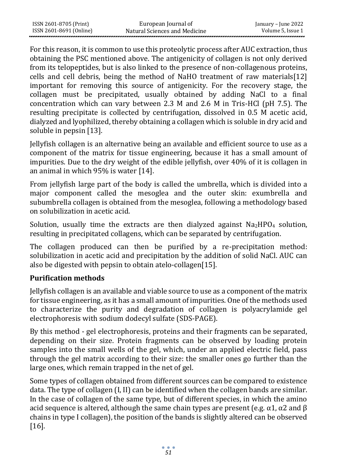| ISSN 2601-8705 (Print)  | European Journal of           | January – June 2022 |
|-------------------------|-------------------------------|---------------------|
| ISSN 2601-8691 (Online) | Natural Sciences and Medicine | Volume 5, Issue 1   |

For this reason, it is common to use this proteolytic process after AUC extraction, thus obtaining the PSC mentioned above. The antigenicity of collagen is not only derived from its telopeptides, but is also linked to the presence of non-collagenous proteins, cells and cell debris, being the method of NaHO treatment of raw materials[12] important for removing this source of antigenicity. For the recovery stage, the collagen must be precipitated, usually obtained by adding NaCl to a final concentration which can vary between 2.3 M and 2.6 M in Tris-HCl (pH 7.5). The resulting precipitate is collected by centrifugation, dissolved in 0.5 M acetic acid, dialyzed and lyophilized, thereby obtaining a collagen which is soluble in dry acid and soluble in pepsin [13].

Jellyfish collagen is an alternative being an available and efficient source to use as a component of the matrix for tissue engineering, because it has a small amount of impurities. Due to the dry weight of the edible jellyfish, over 40% of it is collagen in an animal in which 95% is water [14].

From jellyfish large part of the body is called the umbrella, which is divided into a major component called the mesoglea and the outer skin: exumbrella and subumbrella collagen is obtained from the mesoglea, following a methodology based on solubilization in acetic acid.

Solution, usually time the extracts are then dialyzed against  $Na<sub>2</sub>HPO<sub>4</sub>$  solution, resulting in precipitated collagens, which can be separated by centrifugation.

The collagen produced can then be purified by a re-precipitation method: solubilization in acetic acid and precipitation by the addition of solid NaCl. AUC can also be digested with pepsin to obtain atelo-collagen[15].

## **Purification methods**

Jellyfish collagen is an available and viable source to use as a component of the matrix for tissue engineering, as it has a small amount of impurities. One of the methods used to characterize the purity and degradation of collagen is polyacrylamide gel electrophoresis with sodium dodecyl sulfate (SDS-PAGE).

By this method - gel electrophoresis, proteins and their fragments can be separated, depending on their size. Protein fragments can be observed by loading protein samples into the small wells of the gel, which, under an applied electric field, pass through the gel matrix according to their size: the smaller ones go further than the large ones, which remain trapped in the net of gel.

Some types of collagen obtained from different sources can be compared to existence data. The type of collagen (I, II) can be identified when the collagen bands are similar. In the case of collagen of the same type, but of different species, in which the amino acid sequence is altered, although the same chain types are present (e.g.  $\alpha$ 1,  $\alpha$ 2 and  $\beta$ chains in type I collagen), the position of the bands is slightly altered can be observed [16].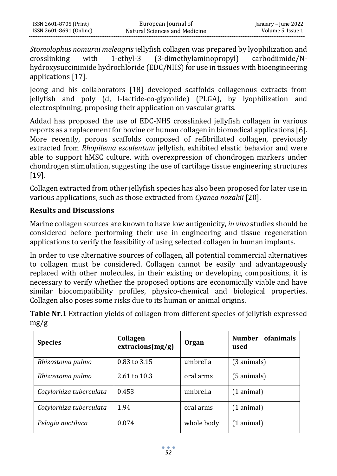| ISSN 2601-8705 (Print)  | European Journal of           | January – June 2022 |
|-------------------------|-------------------------------|---------------------|
| ISSN 2601-8691 (Online) | Natural Sciences and Medicine | Volume 5, Issue 1   |

*Stomolophus nomurai meleagris* jellyfish collagen was prepared by lyophilization and crosslinking with 1-ethyl-3 (3-dimethylaminopropyl) carbodiimide/Nhydroxysuccinimide hydrochloride (EDC/NHS) for use in tissues with bioengineering applications [17].

Jeong and his collaborators [18] developed scaffolds collagenous extracts from jellyfish and poly (d, l-lactide-co-glycolide) (PLGA), by lyophilization and electrospinning, proposing their application on vascular grafts.

Addad has proposed the use of EDC-NHS crosslinked jellyfish collagen in various reports as a replacement for bovine or human collagen in biomedical applications [6]. More recently, porous scaffolds composed of refibrillated collagen, previously extracted from *Rhopilema esculentum* jellyfish, exhibited elastic behavior and were able to support hMSC culture, with overexpression of chondrogen markers under chondrogen stimulation, suggesting the use of cartilage tissue engineering structures [19].

Collagen extracted from other jellyfish species has also been proposed for later use in various applications, such as those extracted from *Cyanea nozakii* [20].

## **Results and Discussions**

Marine collagen sources are known to have low antigenicity, *in vivo* studies should be considered before performing their use in engineering and tissue regeneration applications to verify the feasibility of using selected collagen in human implants.

In order to use alternative sources of collagen, all potential commercial alternatives to collagen must be considered. Collagen cannot be easily and advantageously replaced with other molecules, in their existing or developing compositions, it is necessary to verify whether the proposed options are economically viable and have similar biocompatibility profiles, physico-chemical and biological properties. Collagen also poses some risks due to its human or animal origins.

**Table Nr.1** Extraction yields of collagen from different species of jellyfish expressed mg/g

| <b>Species</b>          | Collagen<br>extracions(mg/g) | <b>Organ</b> | <b>Number</b><br>ofanimals<br>used |
|-------------------------|------------------------------|--------------|------------------------------------|
| Rhizostoma pulmo        | 0.83 to 3.15                 | umbrella     | (3 animals)                        |
| Rhizostoma pulmo        | 2.61 to 10.3                 | oral arms    | $(5 \text{ animals})$              |
| Cotylorhiza tuberculata | 0.453                        | umbrella     | $(1$ animal)                       |
| Cotylorhiza tuberculata | 1.94                         | oral arms    | $(1$ animal)                       |
| Pelagia noctiluca       | 0.074                        | whole body   | $(1$ animal)                       |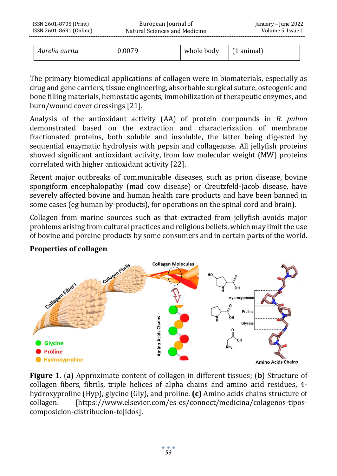| ISSN 2601-8705 (Print)  | European Journal of           | January – June 2022 |
|-------------------------|-------------------------------|---------------------|
| ISSN 2601-8691 (Online) | Natural Sciences and Medicine | Volume 5. Issue 1   |
|                         |                               |                     |

|  | Aurelia aurita | 0.0079 | whole body | l (1 animal) |
|--|----------------|--------|------------|--------------|
|--|----------------|--------|------------|--------------|

The primary biomedical applications of collagen were in biomaterials, especially as drug and gene carriers, tissue engineering, absorbable surgical suture, osteogenic and bone filling materials, hemostatic agents, immobilization of therapeutic enzymes, and burn/wound cover dressings [21].

Analysis of the antioxidant activity (AA) of protein compounds in *R. pulmo* demonstrated based on the extraction and characterization of membrane fractionated proteins, both soluble and insoluble, the latter being digested by sequential enzymatic hydrolysis with pepsin and collagenase. All jellyfish proteins showed significant antioxidant activity, from low molecular weight (MW) proteins correlated with higher antioxidant activity [22].

Recent major outbreaks of communicable diseases, such as prion disease, bovine spongiform encephalopathy (mad cow disease) or Creutzfeld-Jacob disease, have severely affected bovine and human health care products and have been banned in some cases (eg human by-products), for operations on the spinal cord and brain).

Collagen from marine sources such as that extracted from jellyfish avoids major problems arising from cultural practices and religious beliefs, which may limit the use of bovine and porcine products by some consumers and in certain parts of the world.



# **Properties of collagen**

**Figure 1.** (**a**) Approximate content of collagen in different tissues; (**b**) Structure of collagen fibers, fibrils, triple helices of alpha chains and amino acid residues, 4 hydroxyproline (Hyp), glycine (Gly), and proline. **(c)** Amino acids chains structure of collagen. [https://www.elsevier.com/es-es/connect/medicina/colagenos-tiposcomposicion-distribucion-tejidos].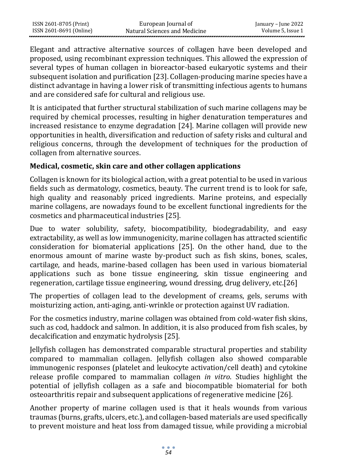Elegant and attractive alternative sources of collagen have been developed and proposed, using recombinant expression techniques. This allowed the expression of several types of human collagen in bioreactor-based eukaryotic systems and their subsequent isolation and purification [23]. Collagen-producing marine species have a distinct advantage in having a lower risk of transmitting infectious agents to humans and are considered safe for cultural and religious use.

It is anticipated that further structural stabilization of such marine collagens may be required by chemical processes, resulting in higher denaturation temperatures and increased resistance to enzyme degradation [24]. Marine collagen will provide new opportunities in health, diversification and reduction of safety risks and cultural and religious concerns, through the development of techniques for the production of collagen from alternative sources.

## **Medical, cosmetic, skin care and other collagen applications**

Collagen is known for its biological action, with a great potential to be used in various fields such as dermatology, cosmetics, beauty. The current trend is to look for safe, high quality and reasonably priced ingredients. Marine proteins, and especially marine collagens, are nowadays found to be excellent functional ingredients for the cosmetics and pharmaceutical industries [25].

Due to water solubility, safety, biocompatibility, biodegradability, and easy extractability, as well as low immunogenicity, marine collagen has attracted scientific consideration for biomaterial applications [25]. On the other hand, due to the enormous amount of marine waste by-product such as fish skins, bones, scales, cartilage, and heads, marine-based collagen has been used in various biomaterial applications such as bone tissue engineering, skin tissue engineering and regeneration, cartilage tissue engineering, wound dressing, drug delivery, etc.[26]

The properties of collagen lead to the development of creams, gels, serums with moisturizing action, anti-aging, anti-wrinkle or protection against UV radiation.

For the cosmetics industry, marine collagen was obtained from cold-water fish skins, such as cod, haddock and salmon. In addition, it is also produced from fish scales, by decalcification and enzymatic hydrolysis [25].

Jellyfish collagen has demonstrated comparable structural properties and stability compared to mammalian collagen. Jellyfish collagen also showed comparable immunogenic responses (platelet and leukocyte activation/cell death) and cytokine release profile compared to mammalian collagen *in vitro*. Studies highlight the potential of jellyfish collagen as a safe and biocompatible biomaterial for both osteoarthritis repair and subsequent applications of regenerative medicine [26].

Another property of marine collagen used is that it heals wounds from various traumas (burns, grafts, ulcers, etc.), and collagen-based materials are used specifically to prevent moisture and heat loss from damaged tissue, while providing a microbial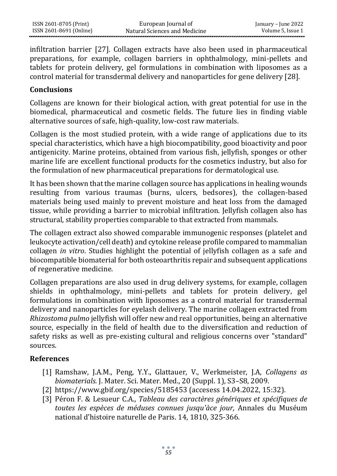infiltration barrier [27]. Collagen extracts have also been used in pharmaceutical preparations, for example, collagen barriers in ophthalmology, mini-pellets and tablets for protein delivery, gel formulations in combination with liposomes as a control material for transdermal delivery and nanoparticles for gene delivery [28].

#### **Conclusions**

Collagens are known for their biological action, with great potential for use in the biomedical, pharmaceutical and cosmetic fields. The future lies in finding viable alternative sources of safe, high-quality, low-cost raw materials.

Collagen is the most studied protein, with a wide range of applications due to its special characteristics, which have a high biocompatibility, good bioactivity and poor antigenicity. Marine proteins, obtained from various fish, jellyfish, sponges or other marine life are excellent functional products for the cosmetics industry, but also for the formulation of new pharmaceutical preparations for dermatological use.

It has been shown that the marine collagen source has applications in healing wounds resulting from various traumas (burns, ulcers, bedsores), the collagen-based materials being used mainly to prevent moisture and heat loss from the damaged tissue, while providing a barrier to microbial infiltration. Jellyfish collagen also has structural, stability properties comparable to that extracted from mammals.

The collagen extract also showed comparable immunogenic responses (platelet and leukocyte activation/cell death) and cytokine release profile compared to mammalian collagen *in vitro*. Studies highlight the potential of jellyfish collagen as a safe and biocompatible biomaterial for both osteoarthritis repair and subsequent applications of regenerative medicine.

Collagen preparations are also used in drug delivery systems, for example, collagen shields in ophthalmology, mini-pellets and tablets for protein delivery, gel formulations in combination with liposomes as a control material for transdermal delivery and nanoparticles for eyelash delivery. The marine collagen extracted from *Rhizostoma pulmo* jellyfish will offer new and real opportunities, being an alternative source, especially in the field of health due to the diversification and reduction of safety risks as well as pre-existing cultural and religious concerns over "standard" sources.

### **References**

- [1] Ramshaw, J.A.M., Peng, Y.Y., Glattauer, V., Werkmeister, J.A, *Collagens as biomaterials.* J. Mater. Sci. Mater. Med., 20 (Suppl. 1), S3–S8, 2009.
- [2] https://www.gbif.org/species/5185453 (accesess 14.04.2022, 15:32).
- [3] Péron F. & Lesueur C.A., *Tableau des caractères génériques et spécifiques de toutes les espèces de méduses connues jusqu'àce jour,* Annales du Muséum national d'histoire naturelle de Paris. 14, 1810, 325-366.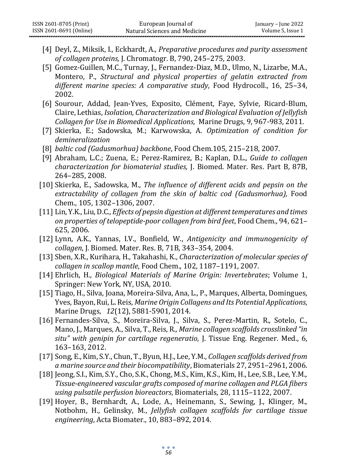- [4] Deyl, Z., Miksik, I., Eckhardt, A., *Preparative procedures and purity assessment of collagen proteins,* J. Chromatogr. B, 790, 245–275, 2003.
- [5] Gomez-Guillen, M.C., Turnay, J., Fernandez-Diaz, M.D., Ulmo, N., Lizarbe, M.A., Montero, P., *Structural and physical properties of gelatin extracted from different marine species: A comparative study*, Food Hydrocoll., 16, 25–34, 2002.
- [6] Sourour, Addad, Jean-Yves, Exposito, Clément, Faye, Sylvie, Ricard-Blum, Claire, Lethias, *Isolation, Characterization and Biological Evaluation of Jellyfish Collagen for Use in Biomedical Applications,* Marine Drugs, 9, 967-983, 2011.
- [7] Skierka, E.; Sadowska, M.; Karwowska, A. *Optimization of condition for demineralization*
- [8] *baltic cod (Gadusmorhua) backbone*, Food Chem.105*,* 215–218, 2007.
- [9] Abraham, L.C.; Zuena, E.; Perez-Ramirez, B.; Kaplan, D.L., *Guide to collagen characterization for biomaterial studies,* J. Biomed. Mater. Res. Part B, 87B, 264–285, 2008.
- [10] Skierka, E., Sadowska, M., *The influence of different acids and pepsin on the*  extractability of collagen from the skin of baltic cod (Gadusmorhua), Food Chem., 105, 1302–1306, 2007.
- [11] Lin, Y.K., Liu, D.C., *Effects of pepsin digestion at different temperatures and times on properties of telopeptide-poor collagen from bird feet*, Food Chem., 94, 621– 625, 2006*.*
- [12] Lynn, A.K., Yannas, I.V., Bonfield, W., *Antigenicity and immunogenicity of collagen*, J. Biomed. Mater. Res. B, 71B, 343–354, 2004.
- [13] Sben, X.R., Kurihara, H., Takahashi, K., *Characterization of molecular species of collagen in scallop mantle*, Food Chem., 102, 1187–1191, 2007.
- [14] Ehrlich, H., *Biological Materials of Marine Origin: Invertebrates*; Volume 1, Springer: New York, NY, USA, 2010.
- [15] [Tiago, H., Silva,](https://sciprofiles.com/profile/84000) [Joana, Moreira-Silva,](https://sciprofiles.com/profile/author/OWsxTGdjWVlNTWovVmtMQWJzWk9QWnVNUXR0RHR2WHlLWVdMSFRXN3Brdz0=) [Ana, L., P., Marques,](https://sciprofiles.com/profile/author/cjJXRVJnK1JKbVR2ZTIwMlZHbStnN3BFRzZ0c1ZOeExwVjQyeWxGejd4OD0=) [Alberta, Domingues,](https://sciprofiles.com/profile/87174) [Yves, Bayon](https://sciprofiles.com/profile/author/KzVmdTBhVkdTZ0xYWFg3Mll0ME12ejNSejZma0tNcTlWak13dUgvdm1YST0=)[,Rui, L. Reis,](https://sciprofiles.com/profile/440443) *Marine Origin Collagens and Its Potential Applications*, Marine Drugs, *12*(12), 5881-5901, 2014.
- [16] Fernandes-Silva, S., Moreira-Silva, J., Silva, S., Perez-Martin, R., Sotelo, C., Mano, J., Marques, A., Silva, T., Reis, R.*, Marine collagen scaffolds crosslinked "in situ" with genipin for cartilage regeneratio,* J. Tissue Eng. Regener. Med., 6, 163–163, 2012.
- [17] Song, E., Kim, S.Y., Chun, T., Byun, H.J., Lee, Y.M., *Collagen scaffolds derived from a marine source and their biocompatibility*, Biomaterials 27, 2951–2961, 2006.
- [18] Jeong, S.I., Kim, S.Y., Cho, S.K., Chong, M.S., Kim, K.S., Kim, H., Lee, S.B., Lee, Y.M., *Tissue-engineered vascular grafts composed of marine collagen and PLGA fibers using pulsatile perfusion bioreactors*, Biomaterials, 28, 1115–1122, 2007.
- [19] Hoyer, B., Bernhardt, A., Lode, A., Heinemann, S., Sewing, J., Klinger, M., Notbohm, H., Gelinsky, M., *Jellyfish collagen scaffolds for cartilage tissue engineering*, Acta Biomater., 10, 883–892, 2014.